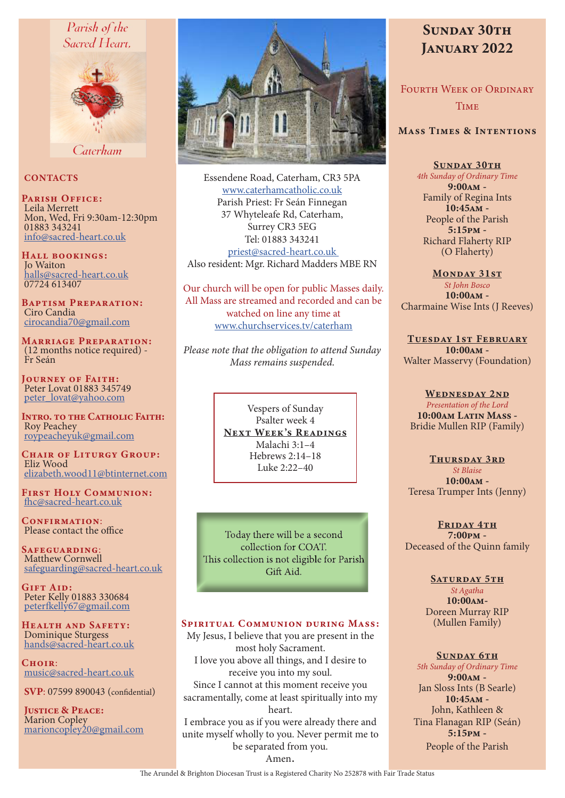## Parish of the Sacred Heart.



Caterham

## **CONTACTS**

PARISH OFFICE: Leila Merrett Mon, Wed, Fri 9:30am-12:30pm 01883 343241 info@sacred-heart.co.uk

Hall bookings: Jo Waiton halls@sacred-heart.co.uk 07724 613407

Baptism Preparation: Ciro Candia cirocandia70@gmail.com

Marriage Preparation: (12 months notice required) - Fr Seán

Journey of Faith: Peter Lovat 01883 345749 peter\_lovat@yahoo.com

INTRO. TO THE CATHOLIC FAITH: Roy Peachey roypeacheyuk@gmail.com

CHAIR OF LITURGY GROUP: Eliz Wood elizabeth.wood11@btinternet.com

First Holy Communion: fhc@sacred-heart.co.uk

CONFIRMATION: Please contact the office

Safeguarding: Matthew Cornwell safeguarding@sacred-heart.co.uk

GIFT AID: Peter Kelly 01883 330684 peterfkelly67@gmail.com

Health and Safety: Dominique Sturgess hands@sacred-heart.co.uk

 $C$ HOIR $\cdot$ music@sacred-heart.co.uk

SVP: 07599 890043 (confidential)

JUSTICE & PEACE: Marion Copley marioncopley20@gmail.com



Essendene Road, Caterham, CR3 5PA www.caterhamcatholic.co.uk Parish Priest: Fr Seán Finnegan 37 Whyteleafe Rd, Caterham, Surrey CR3 5EG Tel: 01883 343241 priest@sacred-heart.co.uk Also resident: Mgr. Richard Madders MBE RN

Our church will be open for public Masses daily. All Mass are streamed and recorded and can be watched on line any time at www.churchservices.tv/caterham

*Please note that the obligation to attend Sunday Mass remains suspended.*

> Vespers of Sunday Psalter week 4 NEXT WEEK'S READINGS Malachi 3:1–4 Hebrews 2:14–18 Luke 2:22–40

Today there will be a second collection for COAT. This collection is not eligible for Parish Gift Aid.

#### Spiritual Communion during Mass:

My Jesus, I believe that you are present in the most holy Sacrament. I love you above all things, and I desire to receive you into my soul. Since I cannot at this moment receive you sacramentally, come at least spiritually into my heart. I embrace you as if you were already there and unite myself wholly to you. Never permit me to be separated from you.

## SUNDAY 30TH JANUARY 2022

FOURTH WEEK OF ORDINARY **TIME** 

## Mass Times & Intentions

#### SUNDAY 30TH

*4th Sunday of Ordinary Time* 9:00am - Family of Regina Ints 10:45am - People of the Parish 5:15pm - Richard Flaherty RIP (O Flaherty)

MONDAY 31ST *St John Bosco* 10:00am - Charmaine Wise Ints (J Reeves)

Tuesday 1st February  $10:00AM -$ Walter Masservy (Foundation)

WEDNESDAY 2ND *Presentation of the Lord* 10:00am Latin Mass -Bridie Mullen RIP (Family)

## THURSDAY 3RD

*St Blaise* 10:00am - Teresa Trumper Ints (Jenny)

FRIDAY 4TH 7:00pm - Deceased of the Quinn family

#### SATURDAY 5TH

*St Agatha* 10:00am-Doreen Murray RIP (Mullen Family)

## SUNDAY 6TH

*5th Sunday of Ordinary Time* 9:00am - Jan Sloss Ints (B Searle) 10:45am - John, Kathleen & Tina Flanagan RIP (Seán) 5:15pm - People of the Parish

Amen.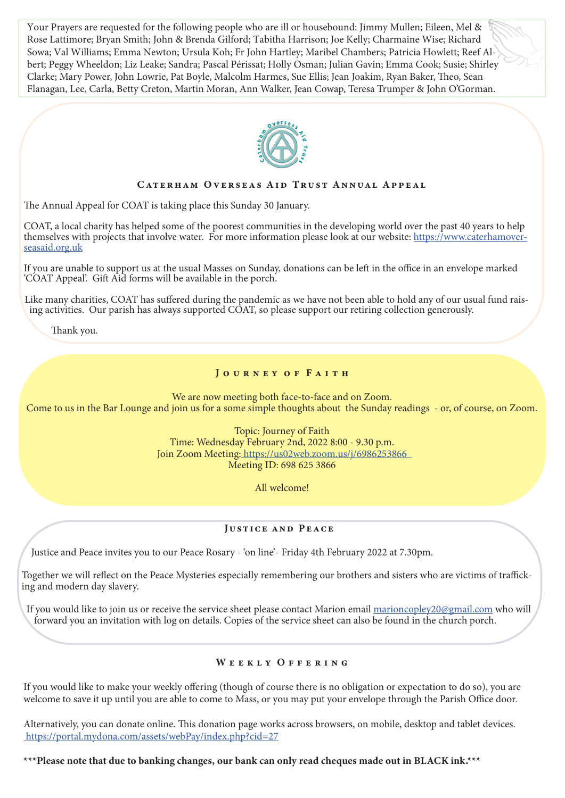Your Prayers are requested for the following people who are ill or housebound: Jimmy Mullen; Eileen, Mel & Rose Lattimore; Bryan Smith; John & Brenda Gilford; Tabitha Harrison; Joe Kelly; Charmaine Wise; Richard Sowa; Val Williams; Emma Newton; Ursula Koh; Fr John Hartley; Maribel Chambers; Patricia Howlett; Reef Albert; Peggy Wheeldon; Liz Leake; Sandra; Pascal Périssat; Holly Osman; Julian Gavin; Emma Cook; Susie; Shirley Clarke; Mary Power, John Lowrie, Pat Boyle, Malcolm Harmes, Sue Ellis; Jean Joakim, Ryan Baker, Theo, Sean Flanagan, Lee, Carla, Betty Creton, Martin Moran, Ann Walker, Jean Cowap, Teresa Trumper & John O'Gorman.



## Caterham Overseas Aid Trust Annual Appeal

The Annual Appeal for COAT is taking place this Sunday 30 January.

COAT, a local charity has helped some of the poorest communities in the developing world over the past 40 years to help themselves with projects that involve water. For more information please look at our website: https://www.caterhamover-<br>seasaid.org.uk

If you are unable to support us at the usual Masses on Sunday, donations can be left in the office in an envelope marked 'COAT Appeal'. Gift Aid forms will be available in the porch.

Like many charities, COAT has suffered during the pandemic as we have not been able to hold any of our usual fund raising activities. Our parish has always supported COAT, so please support our retiring collection generous

Thank you.

## JOURNEY OF FAITH

We are now meeting both face-to-face and on Zoom. Come to us in the Bar Lounge and join us for a some simple thoughts about the Sunday readings - or, of course, on Zoom.

> Topic: Journey of Faith Time: Wednesday February 2nd, 2022 8:00 - 9.30 p.m. Join Zoom Meeting: https://us02web.zoom.us/j/6986253866 Meeting ID: 698 625 3866

> > All welcome!

## Justice and Peace

Justice and Peace invites you to our Peace Rosary - 'on line'- Friday 4th February 2022 at 7.30pm.

Together we will reflect on the Peace Mysteries especially remembering our brothers and sisters who are victims of trafficking and modern day slavery.

If you would like to join us or receive the service sheet please contact Marion email marioncopley20@gmail.com who will forward you an invitation with log on details. Copies of the service sheet can also be found in the church porch.

## WEEKLY OFFERING

If you would like to make your weekly offering (though of course there is no obligation or expectation to do so), you are welcome to save it up until you are able to come to Mass, or you may put your envelope through the Parish Office door.

Alternatively, you can donate online. This donation page works across browsers, on mobile, desktop and tablet devices. https://portal.mydona.com/assets/webPay/index.php?cid=27

\*\*\*Please note that due to banking changes, our bank can only read cheques made out in BLACK ink.\*\*\*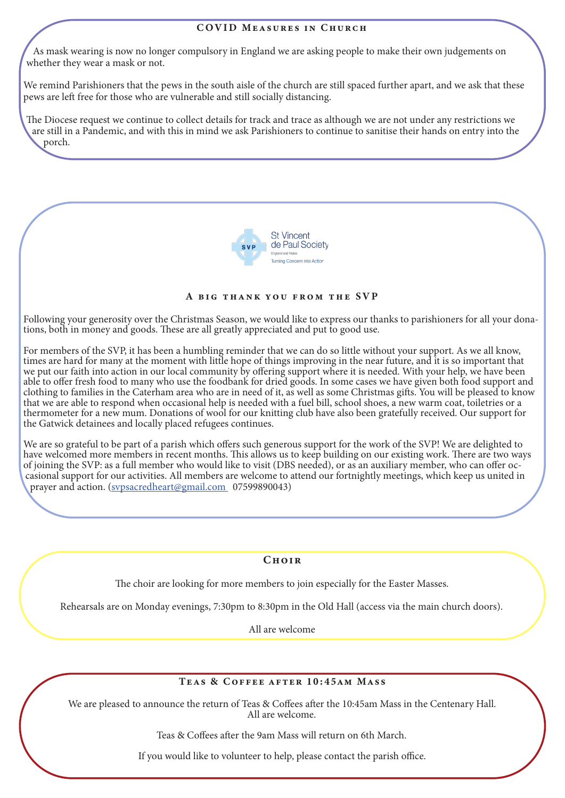## COVID Measures in Church

As mask wearing is now no longer compulsory in England we are asking people to make their own judgements on whether they wear a mask or not.

We remind Parishioners that the pews in the south aisle of the church are still spaced further apart, and we ask that these pews are left free for those who are vulnerable and still socially distancing.

The Diocese request we continue to collect details for track and trace as although we are not under any restrictions we are still in a Pandemic, and with this in mind we ask Parishioners to continue to sanitise their hands on entry into the porch.



## A big thank you from the SVP

Following your generosity over the Christmas Season, we would like to express our thanks to parishioners for all your donations, both in money and goods. These are all greatly appreciated and put to good use.

For members of the SVP, it has been a humbling reminder that we can do so little without your support. As we all know, times are hard for many at the moment with little hope of things improving in the near future, and it is so important that we put our faith into action in our local community by offering support where it is needed. With your help, we have been able to offer fresh food to many who use the foodbank for dried goods. In some cases we have given both food support and clothing to families in the Caterham area who are in need of it, as well as some Christmas gifts. You will be pleased to know that we are able to respond when occasional help is needed with a fuel bill, school shoes, a new warm coat, toiletries or a thermometer for a new mum. Donations of wool for our knitting club have also been gratefully received. Our support for the Gatwick detainees and locally placed refugees continues.

We are so grateful to be part of a parish which offers such generous support for the work of the SVP! We are delighted to have welcomed more members in recent months. This allows us to keep building on our existing work. There are two ways<br>of joining the SVP: as a full member who would like to visit (DBS needed), or as an auxiliary member, wh casional support for our activities. All members are welcome to attend our fortnightly meetings, which keep us united in prayer and action. (svpsacredheart@gmail.com 07599890043)

## Choir

The choir are looking for more members to join especially for the Easter Masses.

Rehearsals are on Monday evenings, 7:30pm to 8:30pm in the Old Hall (access via the main church doors).

All are welcome

## Teas & Coffee after 10:45am Mass

We are pleased to announce the return of Teas & Coffees after the 10:45am Mass in the Centenary Hall. All are welcome.

Teas & Coffees after the 9am Mass will return on 6th March.

If you would like to volunteer to help, please contact the parish office.